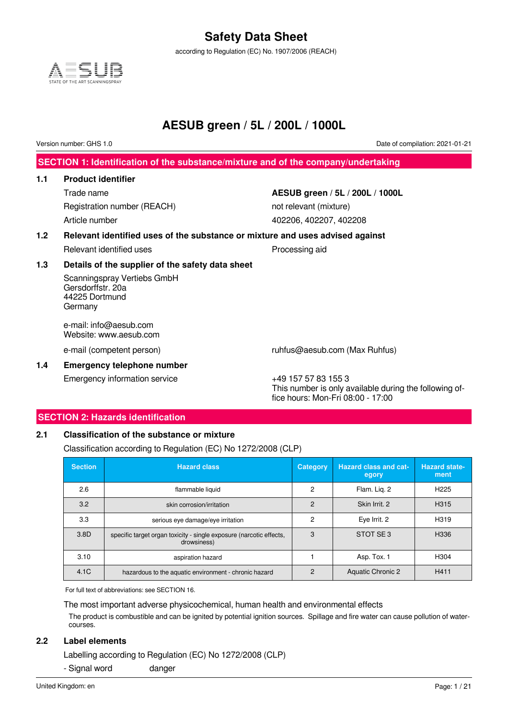according to Regulation (EC) No. 1907/2006 (REACH)



### **AESUB green / 5L / 200L / 1000L**

Version number: GHS 1.0 Date of compilation: 2021-01-21

**SECTION 1: Identification of the substance/mixture and of the company/undertaking**

### **1.1 Product identifier**

Registration number (REACH) not relevant (mixture) Article number 402206, 402207, 402208

# Trade name **AESUB green / 5L / 200L / 1000L**

### **1.2 Relevant identified uses of the substance or mixture and uses advised against**

Relevant identified uses **Processing aid** 

#### **1.3 Details of the supplier of the safety data sheet**

Scanningspray Vertiebs GmbH Gersdorffstr. 20a 44225 Dortmund Germany

e-mail: info@aesub.com Website: www.aesub.com

e-mail (competent person) ruhfus@aesub.com (Max Ruhfus)

### **1.4 Emergency telephone number**

Emergency information service  $+49$  157 57 83 155 3

This number is only available during the following office hours: Mon-Fri 08:00 - 17:00

### **SECTION 2: Hazards identification**

#### **2.1 Classification of the substance or mixture**

Classification according to Regulation (EC) No 1272/2008 (CLP)

| <b>Section</b> | <b>Hazard class</b>                                                                | <b>Category</b> | <b>Hazard class and cat-</b><br>egory | <b>Hazard state-</b><br>ment |
|----------------|------------------------------------------------------------------------------------|-----------------|---------------------------------------|------------------------------|
| 2.6            | flammable liquid                                                                   | 2               | Flam. Lig. 2                          | H <sub>225</sub>             |
| 3.2            | skin corrosion/irritation                                                          | $\mathcal{P}$   | Skin Irrit. 2                         | H <sub>3</sub> 15            |
| 3.3            | serious eye damage/eye irritation                                                  | 2               | Eye Irrit. 2                          | H319                         |
| 3.8D           | specific target organ toxicity - single exposure (narcotic effects,<br>drowsiness) | 3               | STOT SE3                              | H336                         |
| 3.10           | aspiration hazard                                                                  |                 | Asp. Tox. 1                           | H304                         |
| 4.1C           | hazardous to the aquatic environment - chronic hazard                              | $\mathcal{P}$   | <b>Aquatic Chronic 2</b>              | H411                         |

For full text of abbreviations: see SECTION 16.

The most important adverse physicochemical, human health and environmental effects

The product is combustible and can be ignited by potential ignition sources. Spillage and fire water can cause pollution of watercourses.

#### **2.2 Label elements**

Labelling according to Regulation (EC) No 1272/2008 (CLP)

- Signal word danger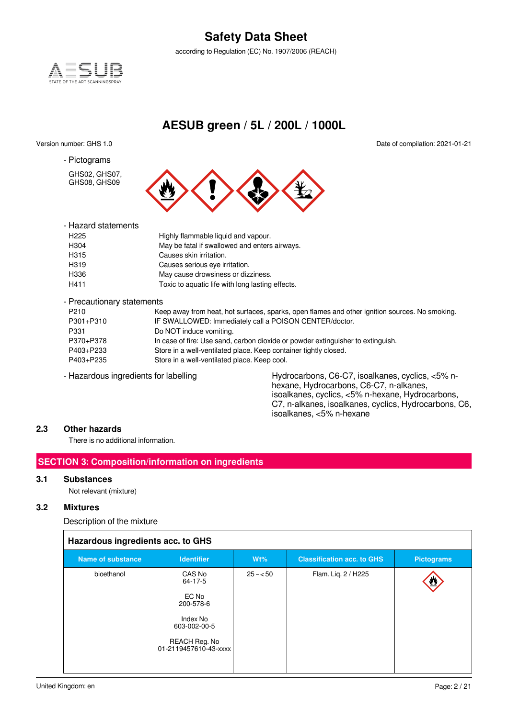according to Regulation (EC) No. 1907/2006 (REACH)



### **AESUB green / 5L / 200L / 1000L**

- Pictograms

GHS02, GHS07, GHS08, GHS09

Version number: GHS 1.0 Date of compilation: 2021-01-21



| - Hazard statements |                                                  |
|---------------------|--------------------------------------------------|
| H <sub>225</sub>    | Highly flammable liquid and vapour.              |
| H304                | May be fatal if swallowed and enters airways.    |
| H315                | Causes skin irritation.                          |
| H <sub>3</sub> 19   | Causes serious eye irritation.                   |
| H336                | May cause drowsiness or dizziness.               |
| H411                | Toxic to aquatic life with long lasting effects. |
|                     |                                                  |

- Precautionary statements

| P <sub>210</sub> | Keep away from heat, hot surfaces, sparks, open flames and other ignition sources. No smoking. |
|------------------|------------------------------------------------------------------------------------------------|
| P301+P310        | IF SWALLOWED: Immediately call a POISON CENTER/doctor.                                         |
| P331             | Do NOT induce vomiting.                                                                        |
| P370+P378        | In case of fire: Use sand, carbon dioxide or powder extinguisher to extinguish.                |
| P403+P233        | Store in a well-ventilated place. Keep container tightly closed.                               |
| P403+P235        | Store in a well-ventilated place. Keep cool.                                                   |
|                  |                                                                                                |

- Hazardous ingredients for labelling Hydrocarbons, C6-C7, isoalkanes, cyclics, <5% nhexane, Hydrocarbons, C6-C7, n-alkanes, isoalkanes, cyclics, <5% n-hexane, Hydrocarbons, C7, n-alkanes, isoalkanes, cyclics, Hydrocarbons, C6, isoalkanes, <5% n-hexane

#### **2.3 Other hazards**

There is no additional information.

### **SECTION 3: Composition/information on ingredients**

#### **3.1 Substances**

Not relevant (mixture)

#### **3.2 Mixtures**

Description of the mixture

|  |  | Hazardous ingredients acc. to GHS |  |  |  |
|--|--|-----------------------------------|--|--|--|
|--|--|-----------------------------------|--|--|--|

| <b>Hazardous ingredicties acc. to Grio</b> |                                                                                      |           |                                   |                   |  |  |  |  |  |  |
|--------------------------------------------|--------------------------------------------------------------------------------------|-----------|-----------------------------------|-------------------|--|--|--|--|--|--|
| <b>Name of substance</b>                   | <b>Identifier</b>                                                                    | $Wt\%$    | <b>Classification acc. to GHS</b> | <b>Pictograms</b> |  |  |  |  |  |  |
| bioethanol                                 | CAS No<br>64-17-5<br>EC No<br>200-578-6<br>Index No<br>603-002-00-5<br>REACH Reg. No | $25 - 50$ | Flam. Liq. 2 / H225               | 些                 |  |  |  |  |  |  |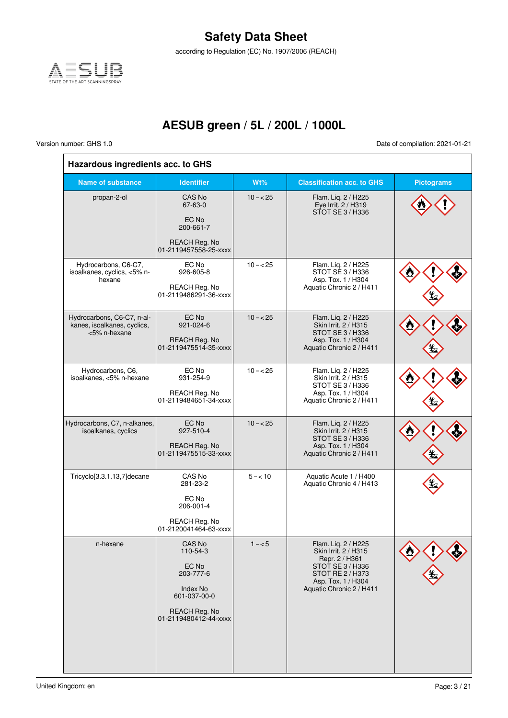according to Regulation (EC) No. 1907/2006 (REACH)



## **AESUB green / 5L / 200L / 1000L**

 $\overline{\Gamma}$ 

Version number: GHS 1.0 Date of compilation: 2021-01-21

 $\bar{1}$ 

| Hazardous ingredients acc. to GHS                                         |                                                                                                                       |            |                                                                                                                                                         |                   |
|---------------------------------------------------------------------------|-----------------------------------------------------------------------------------------------------------------------|------------|---------------------------------------------------------------------------------------------------------------------------------------------------------|-------------------|
| Name of substance                                                         | <b>Identifier</b>                                                                                                     | Wt%        | <b>Classification acc. to GHS</b>                                                                                                                       | <b>Pictograms</b> |
| propan-2-ol                                                               | <b>CAS No</b><br>67-63-0<br>EC No<br>200-661-7<br>REACH Reg. No<br>01-2119457558-25-xxxx                              | $10 - 25$  | Flam. Liq. 2 / H225<br>Eye Irrit. 2 / H319<br>STOT SE 3 / H336                                                                                          |                   |
| Hydrocarbons, C6-C7,<br>isoalkanes, cyclics, <5% n-<br>hexane             | EC No<br>926-605-8<br>REACH Reg. No<br>01-2119486291-36-xxxx                                                          | $10 - 25$  | Flam. Liq. 2 / H225<br>STOT SE 3 / H336<br>Asp. Tox. 1 / H304<br>Aquatic Chronic 2 / H411                                                               |                   |
| Hydrocarbons, C6-C7, n-al-<br>kanes, isoalkanes, cyclics,<br><5% n-hexane | EC No<br>921-024-6<br>REACH Reg. No<br>01-2119475514-35-xxxx                                                          | $10 - 25$  | Flam. Liq. 2 / H225<br>Skin Irrit. 2 / H315<br>STOT SE 3 / H336<br>Asp. Tox. 1 / H304<br>Aquatic Chronic 2 / H411                                       |                   |
| Hydrocarbons, C6,<br>isoalkanes, <5% n-hexane                             | EC No<br>931-254-9<br>REACH Reg. No<br>01-2119484651-34-xxxx                                                          | $10 - 25$  | Flam. Liq. 2 / H225<br>Skin Irrit. 2 / H315<br>STOT SE 3 / H336<br>Asp. Tox. 1 / H304<br>Aquatic Chronic 2 / H411                                       |                   |
| Hydrocarbons, C7, n-alkanes,<br>isoalkanes, cyclics                       | EC No<br>927-510-4<br><b>REACH Reg. No</b><br>01-2119475515-33-xxxx                                                   | $10 - 25$  | Flam. Liq. 2 / H225<br>Skin Irrit. 2 / H315<br>STOT SE 3 / H336<br>Asp. Tox. 1 / H304<br>Aquatic Chronic 2 / H411                                       |                   |
| Tricyclo[3.3.1.13,7]decane                                                | CAS No<br>281-23-2<br>EC No<br>206-001-4<br>REACH Reg. No<br>01-2120041464-63-xxxx                                    | $5 - < 10$ | Aquatic Acute 1 / H400<br>Aquatic Chronic 4 / H413                                                                                                      |                   |
| n-hexane                                                                  | CAS No<br>110-54-3<br>EC No<br>203-777-6<br><b>Index No</b><br>601-037-00-0<br>REACH Reg. No<br>01-2119480412-44-xxxx | $1 - 5$    | Flam. Liq. 2 / H225<br>Skin Irrit. 2 / H315<br>Repr. 2 / H361<br>STOT SE 3 / H336<br>STOT RE 2 / H373<br>Asp. Tox. 1 / H304<br>Aquatic Chronic 2 / H411 |                   |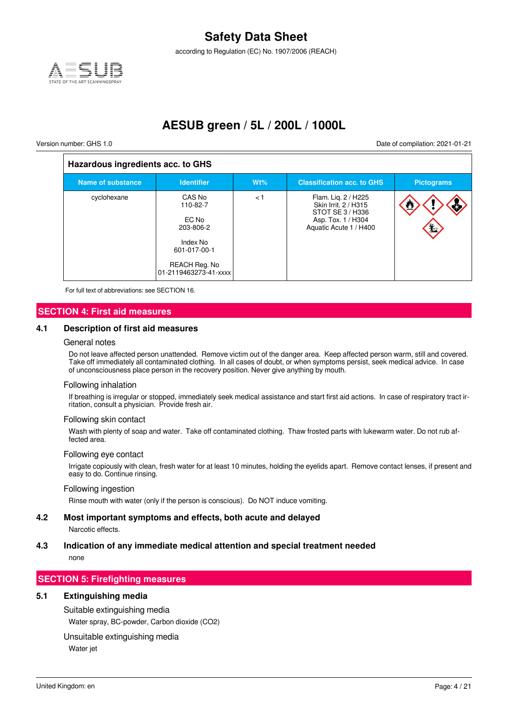

according to Regulation (EC) No. 1907/2006 (REACH)

### **AESUB green / 5L / 200L / 1000L**

 $\overline{1}$ 

Version number: GHS 1.0 Date of compilation: 2021-01-21

| Hazardous ingredients acc. to GHS |                                                                                                                |     |                                                                                                                 |                         |  |  |  |  |  |  |
|-----------------------------------|----------------------------------------------------------------------------------------------------------------|-----|-----------------------------------------------------------------------------------------------------------------|-------------------------|--|--|--|--|--|--|
| <b>Name of substance</b>          | <b>Identifier</b>                                                                                              | Wt% | <b>Classification acc. to GHS</b>                                                                               | <b>Pictograms</b>       |  |  |  |  |  |  |
| cyclohexane                       | CAS No<br>110-82-7<br>EC No<br>203-806-2<br>Index No<br>601-017-00-1<br>REACH Reg. No<br>01-2119463273-41-xxxx | < 1 | Flam. Lig. 2 / H225<br>Skin Irrit. 2 / H315<br>STOT SE 3 / H336<br>Asp. Tox. 1 / H304<br>Aquatic Acute 1 / H400 | ₾.<br>Ś<br>$\mathbf{E}$ |  |  |  |  |  |  |

For full text of abbreviations: see SECTION 16.

#### **SECTION 4: First aid measures**

#### **4.1 Description of first aid measures**

#### General notes

Do not leave affected person unattended. Remove victim out of the danger area. Keep affected person warm, still and covered. Take off immediately all contaminated clothing. In all cases of doubt, or when symptoms persist, seek medical advice. In case of unconsciousness place person in the recovery position. Never give anything by mouth.

#### Following inhalation

If breathing is irregular or stopped, immediately seek medical assistance and start first aid actions. In case of respiratory tract irritation, consult a physician. Provide fresh air.

#### Following skin contact

Wash with plenty of soap and water. Take off contaminated clothing. Thaw frosted parts with lukewarm water. Do not rub affected area.

#### Following eye contact

Irrigate copiously with clean, fresh water for at least 10 minutes, holding the eyelids apart. Remove contact lenses, if present and easy to do. Continue rinsing.

#### Following ingestion

Rinse mouth with water (only if the person is conscious). Do NOT induce vomiting.

#### **4.2 Most important symptoms and effects, both acute and delayed**

Narcotic effects.

### **4.3 Indication of any immediate medical attention and special treatment needed**

none

#### **SECTION 5: Firefighting measures**

#### **5.1 Extinguishing media**

Suitable extinguishing media Water spray, BC-powder, Carbon dioxide (CO2)

#### Unsuitable extinguishing media

Water jet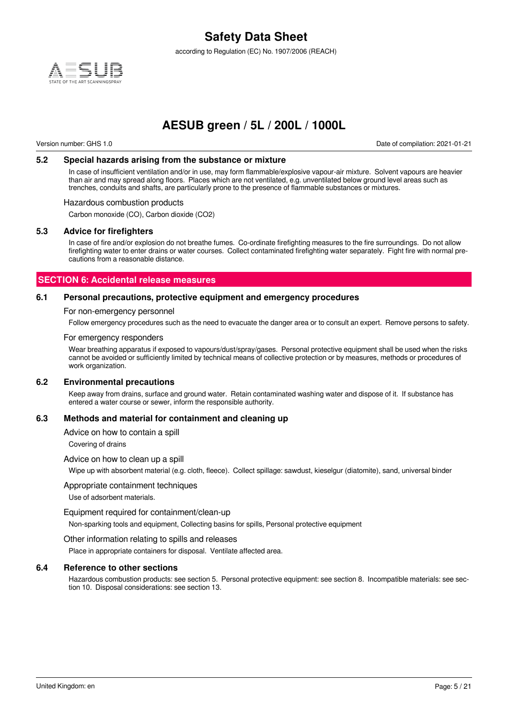

according to Regulation (EC) No. 1907/2006 (REACH)

### **AESUB green / 5L / 200L / 1000L**

Version number: GHS 1.0 Date of compilation: 2021-01-21

#### **5.2 Special hazards arising from the substance or mixture**

In case of insufficient ventilation and/or in use, may form flammable/explosive vapour-air mixture. Solvent vapours are heavier than air and may spread along floors. Places which are not ventilated, e.g. unventilated below ground level areas such as trenches, conduits and shafts, are particularly prone to the presence of flammable substances or mixtures.

#### Hazardous combustion products

Carbon monoxide (CO), Carbon dioxide (CO2)

#### **5.3 Advice for firefighters**

In case of fire and/or explosion do not breathe fumes. Co-ordinate firefighting measures to the fire surroundings. Do not allow firefighting water to enter drains or water courses. Collect contaminated firefighting water separately. Fight fire with normal precautions from a reasonable distance.

#### **SECTION 6: Accidental release measures**

#### **6.1 Personal precautions, protective equipment and emergency procedures**

#### For non-emergency personnel

Follow emergency procedures such as the need to evacuate the danger area or to consult an expert. Remove persons to safety.

#### For emergency responders

Wear breathing apparatus if exposed to vapours/dust/spray/gases. Personal protective equipment shall be used when the risks cannot be avoided or sufficiently limited by technical means of collective protection or by measures, methods or procedures of work organization.

#### **6.2 Environmental precautions**

Keep away from drains, surface and ground water. Retain contaminated washing water and dispose of it. If substance has entered a water course or sewer, inform the responsible authority.

#### **6.3 Methods and material for containment and cleaning up**

#### Advice on how to contain a spill

Covering of drains

#### Advice on how to clean up a spill

Wipe up with absorbent material (e.g. cloth, fleece). Collect spillage: sawdust, kieselgur (diatomite), sand, universal binder

#### Appropriate containment techniques

Use of adsorbent materials.

#### Equipment required for containment/clean-up

Non-sparking tools and equipment, Collecting basins for spills, Personal protective equipment

#### Other information relating to spills and releases

Place in appropriate containers for disposal. Ventilate affected area.

#### **6.4 Reference to other sections**

Hazardous combustion products: see section 5. Personal protective equipment: see section 8. Incompatible materials: see section 10. Disposal considerations: see section 13.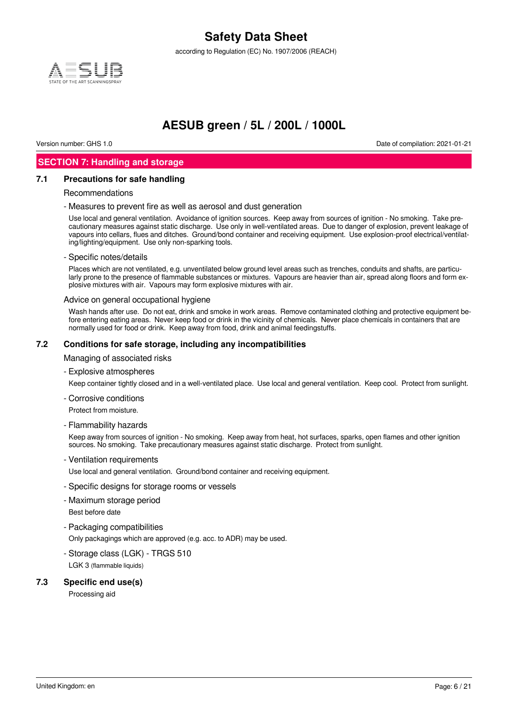according to Regulation (EC) No. 1907/2006 (REACH)



### **AESUB green / 5L / 200L / 1000L**

Version number: GHS 1.0 Date of compilation: 2021-01-21

### **SECTION 7: Handling and storage**

#### **7.1 Precautions for safe handling**

#### Recommendations

- Measures to prevent fire as well as aerosol and dust generation

Use local and general ventilation. Avoidance of ignition sources. Keep away from sources of ignition - No smoking. Take precautionary measures against static discharge. Use only in well-ventilated areas. Due to danger of explosion, prevent leakage of vapours into cellars, flues and ditches. Ground/bond container and receiving equipment. Use explosion-proof electrical/ventilating/lighting/equipment. Use only non-sparking tools.

#### - Specific notes/details

Places which are not ventilated, e.g. unventilated below ground level areas such as trenches, conduits and shafts, are particularly prone to the presence of flammable substances or mixtures. Vapours are heavier than air, spread along floors and form explosive mixtures with air. Vapours may form explosive mixtures with air.

#### Advice on general occupational hygiene

Wash hands after use. Do not eat, drink and smoke in work areas. Remove contaminated clothing and protective equipment before entering eating areas. Never keep food or drink in the vicinity of chemicals. Never place chemicals in containers that are normally used for food or drink. Keep away from food, drink and animal feedingstuffs.

#### **7.2 Conditions for safe storage, including any incompatibilities**

Managing of associated risks

- Explosive atmospheres

Keep container tightly closed and in a well-ventilated place. Use local and general ventilation. Keep cool. Protect from sunlight.

- Corrosive conditions

Protect from moisture.

- Flammability hazards

Keep away from sources of ignition - No smoking. Keep away from heat, hot surfaces, sparks, open flames and other ignition sources. No smoking. Take precautionary measures against static discharge. Protect from sunlight.

- Ventilation requirements

Use local and general ventilation. Ground/bond container and receiving equipment.

- Specific designs for storage rooms or vessels
- Maximum storage period

Best before date

- Packaging compatibilities

Only packagings which are approved (e.g. acc. to ADR) may be used.

- Storage class (LGK) - TRGS 510 LGK 3 (flammable liquids)

#### **7.3 Specific end use(s)**

Processing aid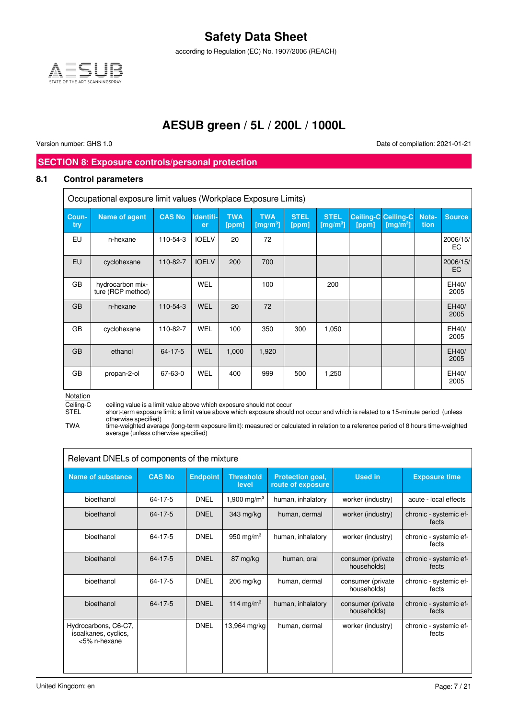according to Regulation (EC) No. 1907/2006 (REACH)



### **AESUB green / 5L / 200L / 1000L**

Version number: GHS 1.0 Date of compilation: 2021-01-21

### **SECTION 8: Exposure controls/personal protection**

#### **8.1 Control parameters**

| Occupational exposure limit values (Workplace Exposure Limits) |                                       |               |                 |                     |                                 |                      |                                  |       |                                                    |               |                |
|----------------------------------------------------------------|---------------------------------------|---------------|-----------------|---------------------|---------------------------------|----------------------|----------------------------------|-------|----------------------------------------------------|---------------|----------------|
| Coun-<br>try                                                   | <b>Name of agent</b>                  | <b>CAS No</b> | Identifi-<br>er | <b>TWA</b><br>[ppm] | <b>TWA</b><br>$\sqrt{[mg/m^3]}$ | <b>STEL</b><br>[ppm] | <b>STEL</b><br>$\sqrt{[mg/m^3]}$ | [ppm] | <b>Ceiling-C Ceiling-C</b><br>[mg/m <sup>3</sup> ] | Nota-<br>tion | <b>Source</b>  |
| EU                                                             | n-hexane                              | 110-54-3      | <b>IOELV</b>    | 20                  | 72                              |                      |                                  |       |                                                    |               | 2006/15/<br>EC |
| <b>EU</b>                                                      | cyclohexane                           | 110-82-7      | <b>IOELV</b>    | 200                 | 700                             |                      |                                  |       |                                                    |               | 2006/15/<br>EC |
| GB                                                             | hydrocarbon mix-<br>ture (RCP method) |               | <b>WEL</b>      |                     | 100                             |                      | 200                              |       |                                                    |               | EH40/<br>2005  |
| <b>GB</b>                                                      | n-hexane                              | 110-54-3      | <b>WEL</b>      | 20                  | 72                              |                      |                                  |       |                                                    |               | EH40/<br>2005  |
| GB                                                             | cyclohexane                           | 110-82-7      | WEL             | 100                 | 350                             | 300                  | 1,050                            |       |                                                    |               | EH40/<br>2005  |
| <b>GB</b>                                                      | ethanol                               | 64-17-5       | <b>WEL</b>      | 1,000               | 1,920                           |                      |                                  |       |                                                    |               | EH40/<br>2005  |
| GB                                                             | propan-2-ol                           | 67-63-0       | WEL             | 400                 | 999                             | 500                  | 1,250                            |       |                                                    |               | EH40/<br>2005  |

Notation

Ceiling-C ceiling value is a limit value above which exposure should not occur

STEL short-term exposure limit: a limit value above which exposure should not occur and which is related to a 15-minute period (unless otherwise specified)

TWA time-weighted average (long-term exposure limit): measured or calculated in relation to a reference period of 8 hours time-weighted average (unless otherwise specified)

| Relevant DNELs of components of the mixture                  |               |                 |                           |                                              |                                   |                                 |  |  |  |
|--------------------------------------------------------------|---------------|-----------------|---------------------------|----------------------------------------------|-----------------------------------|---------------------------------|--|--|--|
| <b>Name of substance</b>                                     | <b>CAS No</b> | <b>Endpoint</b> | <b>Threshold</b><br>level | <b>Protection goal,</b><br>route of exposure | Used in                           | <b>Exposure time</b>            |  |  |  |
| bioethanol                                                   | 64-17-5       | <b>DNEL</b>     | 1,900 mg/m <sup>3</sup>   | human, inhalatory                            | worker (industry)                 | acute - local effects           |  |  |  |
| bioethanol                                                   | 64-17-5       | <b>DNEL</b>     | 343 mg/kg                 | human, dermal                                | worker (industry)                 | chronic - systemic ef-<br>fects |  |  |  |
| bioethanol                                                   | 64-17-5       | <b>DNEL</b>     | 950 mg/m $3$              | human, inhalatory                            | worker (industry)                 | chronic - systemic ef-<br>fects |  |  |  |
| bioethanol                                                   | 64-17-5       | <b>DNEL</b>     | 87 mg/kg                  | human, oral                                  | consumer (private)<br>households) | chronic - systemic ef-<br>fects |  |  |  |
| bioethanol                                                   | 64-17-5       | <b>DNEL</b>     | $206$ mg/kg               | human, dermal                                | consumer (private)<br>households) | chronic - systemic ef-<br>fects |  |  |  |
| bioethanol                                                   | 64-17-5       | <b>DNEL</b>     | 114 mg/m <sup>3</sup>     | human, inhalatory                            | consumer (private)<br>households) | chronic - systemic ef-<br>fects |  |  |  |
| Hydrocarbons, C6-C7,<br>isoalkanes, cyclics,<br><5% n-hexane |               | <b>DNEL</b>     | 13,964 mg/kg              | human, dermal                                | worker (industry)                 | chronic - systemic ef-<br>fects |  |  |  |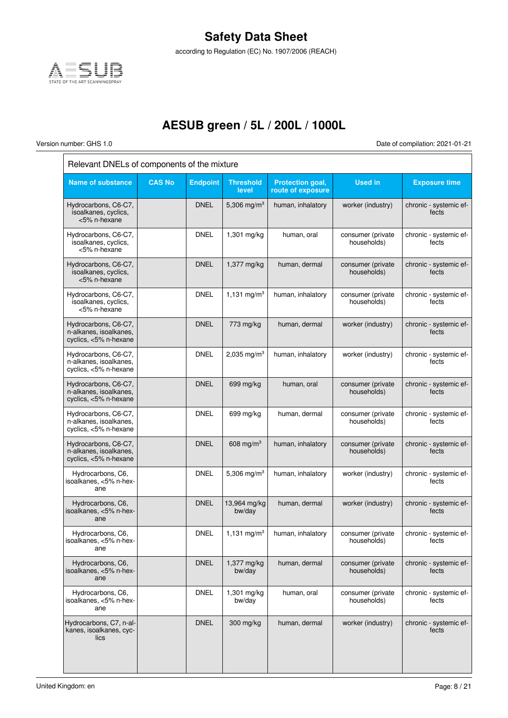

according to Regulation (EC) No. 1907/2006 (REACH)

## **AESUB green / 5L / 200L / 1000L**

 $\overline{\Gamma}$ 

Version number: GHS 1.0 Date of compilation: 2021-01-21

╕

| Relevant DNELs of components of the mixture                             |               |                 |                           |                                       |                                  |                                 |  |  |  |
|-------------------------------------------------------------------------|---------------|-----------------|---------------------------|---------------------------------------|----------------------------------|---------------------------------|--|--|--|
| <b>Name of substance</b>                                                | <b>CAS No</b> | <b>Endpoint</b> | <b>Threshold</b><br>level | Protection goal,<br>route of exposure | <b>Used in</b>                   | <b>Exposure time</b>            |  |  |  |
| Hydrocarbons, C6-C7,<br>isoalkanes, cyclics,<br><5% n-hexane            |               | DNEL            | 5,306 mg/m <sup>3</sup>   | human, inhalatory                     | worker (industry)                | chronic - systemic ef-<br>fects |  |  |  |
| Hydrocarbons, C6-C7,<br>isoalkanes, cyclics,<br><5% n-hexane            |               | <b>DNEL</b>     | 1,301 mg/kg               | human, oral                           | consumer (private<br>households) | chronic - systemic ef-<br>fects |  |  |  |
| Hydrocarbons, C6-C7,<br>isoalkanes, cyclics,<br><5% n-hexane            |               | <b>DNEL</b>     | 1,377 mg/kg               | human, dermal                         | consumer (private<br>households) | chronic - systemic ef-<br>fects |  |  |  |
| Hydrocarbons, C6-C7,<br>isoalkanes, cyclics,<br><5% n-hexane            |               | <b>DNEL</b>     | 1,131 mg/m <sup>3</sup>   | human, inhalatory                     | consumer (private<br>households) | chronic - systemic ef-<br>fects |  |  |  |
| Hydrocarbons, C6-C7,<br>n-alkanes, isoalkanes,<br>cyclics, <5% n-hexane |               | <b>DNEL</b>     | 773 mg/kg                 | human, dermal                         | worker (industry)                | chronic - systemic ef-<br>fects |  |  |  |
| Hydrocarbons, C6-C7,<br>n-alkanes, isoalkanes,<br>cyclics, <5% n-hexane |               | <b>DNEL</b>     | 2,035 mg/m <sup>3</sup>   | human, inhalatory                     | worker (industry)                | chronic - systemic ef-<br>fects |  |  |  |
| Hydrocarbons, C6-C7,<br>n-alkanes, isoalkanes,<br>cyclics, <5% n-hexane |               | DNEL            | 699 mg/kg                 | human, oral                           | consumer (private<br>households) | chronic - systemic ef-<br>fects |  |  |  |
| Hydrocarbons, C6-C7,<br>n-alkanes, isoalkanes,<br>cyclics, <5% n-hexane |               | <b>DNEL</b>     | 699 mg/kg                 | human, dermal                         | consumer (private<br>households) | chronic - systemic ef-<br>fects |  |  |  |
| Hydrocarbons, C6-C7,<br>n-alkanes, isoalkanes,<br>cyclics, <5% n-hexane |               | <b>DNEL</b>     | 608 mg/m <sup>3</sup>     | human, inhalatory                     | consumer (private<br>households) | chronic - systemic ef-<br>fects |  |  |  |
| Hydrocarbons, C6,<br>isoalkanes, <5% n-hex-<br>ane                      |               | <b>DNEL</b>     | 5,306 mg/m <sup>3</sup>   | human, inhalatory                     | worker (industry)                | chronic - systemic ef-<br>fects |  |  |  |
| Hydrocarbons, C6,<br>isoalkanes, <5% n-hex-<br>ane                      |               | <b>DNEL</b>     | 13,964 mg/kg<br>bw/day    | human, dermal                         | worker (industry)                | chronic - systemic ef-<br>fects |  |  |  |
| Hydrocarbons, C6,<br>isoalkanes, <5% n-hex-<br>ane                      |               | <b>DNEL</b>     | 1,131 mg/m <sup>3</sup>   | human, inhalatory                     | consumer (private<br>households) | chronic - systemic ef-<br>fects |  |  |  |
| Hydrocarbons, C6,<br>isoalkanes, <5% n-hex-<br>ane                      |               | <b>DNEL</b>     | 1,377 mg/kg<br>bw/day     | human, dermal                         | consumer (private<br>households) | chronic - systemic ef-<br>fects |  |  |  |
| Hydrocarbons, C6,<br>isoalkanes, <5% n-hex-<br>ane                      |               | <b>DNEL</b>     | 1,301 mg/kg<br>bw/day     | human, oral                           | consumer (private<br>households) | chronic - systemic ef-<br>fects |  |  |  |
| Hydrocarbons, C7, n-al-<br>kanes, isoalkanes, cyc-<br>lics              |               | <b>DNEL</b>     | 300 mg/kg                 | human, dermal                         | worker (industry)                | chronic - systemic ef-<br>fects |  |  |  |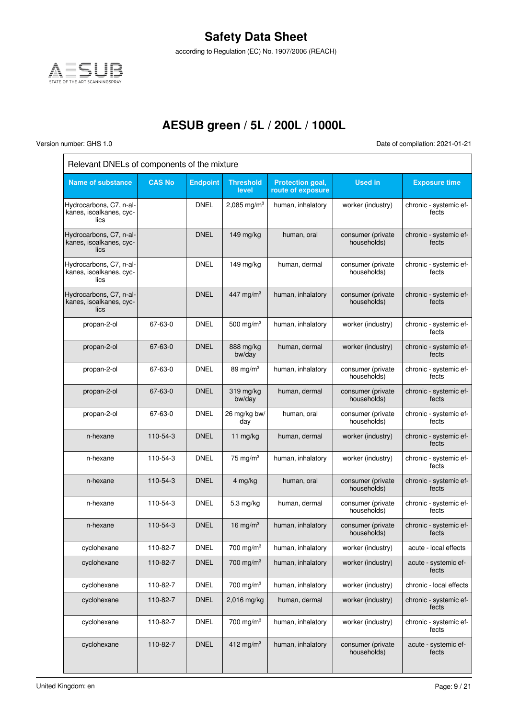

according to Regulation (EC) No. 1907/2006 (REACH)

## **AESUB green / 5L / 200L / 1000L**

 $\overline{\Gamma}$ 

Version number: GHS 1.0 Date of compilation: 2021-01-21

| Relevant DNELs of components of the mixture                |               |                 |                           |                                       |                                  |                                 |  |  |  |
|------------------------------------------------------------|---------------|-----------------|---------------------------|---------------------------------------|----------------------------------|---------------------------------|--|--|--|
| <b>Name of substance</b>                                   | <b>CAS No</b> | <b>Endpoint</b> | <b>Threshold</b><br>level | Protection goal,<br>route of exposure | <b>Used in</b>                   | <b>Exposure time</b>            |  |  |  |
| Hydrocarbons, C7, n-al-<br>kanes, isoalkanes, cyc-<br>lics |               | <b>DNEL</b>     | 2,085 mg/m <sup>3</sup>   | human, inhalatory                     | worker (industry)                | chronic - systemic ef-<br>fects |  |  |  |
| Hydrocarbons, C7, n-al-<br>kanes, isoalkanes, cyc-<br>lics |               | <b>DNEL</b>     | 149 mg/kg                 | human, oral                           | consumer (private<br>households) | chronic - systemic ef-<br>fects |  |  |  |
| Hydrocarbons, C7, n-al-<br>kanes, isoalkanes, cyc-<br>lics |               | <b>DNEL</b>     | 149 mg/kg                 | human, dermal                         | consumer (private<br>households) | chronic - systemic ef-<br>fects |  |  |  |
| Hydrocarbons, C7, n-al-<br>kanes, isoalkanes, cyc-<br>lics |               | <b>DNEL</b>     | 447 mg/m <sup>3</sup>     | human, inhalatory                     | consumer (private<br>households) | chronic - systemic ef-<br>fects |  |  |  |
| propan-2-ol                                                | 67-63-0       | <b>DNEL</b>     | 500 mg/m $3$              | human, inhalatory                     | worker (industry)                | chronic - systemic ef-<br>fects |  |  |  |
| propan-2-ol                                                | 67-63-0       | <b>DNEL</b>     | 888 mg/kg<br>bw/day       | human, dermal                         | worker (industry)                | chronic - systemic ef-<br>fects |  |  |  |
| propan-2-ol                                                | 67-63-0       | DNEL            | 89 mg/ $m3$               | human, inhalatory                     | consumer (private<br>households) | chronic - systemic ef-<br>fects |  |  |  |
| propan-2-ol                                                | 67-63-0       | <b>DNEL</b>     | $319$ mg/kg<br>bw/day     | human, dermal                         | consumer (private<br>households) | chronic - systemic ef-<br>fects |  |  |  |
| propan-2-ol                                                | 67-63-0       | <b>DNEL</b>     | 26 mg/kg bw/<br>day       | human, oral                           | consumer (private<br>households) | chronic - systemic ef-<br>fects |  |  |  |
| n-hexane                                                   | 110-54-3      | <b>DNEL</b>     | 11 mg/kg                  | human, dermal                         | worker (industry)                | chronic - systemic ef-<br>fects |  |  |  |
| n-hexane                                                   | 110-54-3      | <b>DNEL</b>     | 75 mg/m $3$               | human, inhalatory                     | worker (industry)                | chronic - systemic ef-<br>fects |  |  |  |
| n-hexane                                                   | 110-54-3      | <b>DNEL</b>     | 4 mg/kg                   | human, oral                           | consumer (private<br>households) | chronic - systemic ef-<br>fects |  |  |  |
| n-hexane                                                   | 110-54-3      | DNEL            | 5.3 mg/kg                 | human, dermal                         | consumer (private<br>households) | chronic - systemic ef-<br>fects |  |  |  |
| n-hexane                                                   | 110-54-3      | <b>DNEL</b>     | 16 mg/m $3$               | human, inhalatory                     | consumer (private<br>households) | chronic - systemic ef-<br>fects |  |  |  |
| cyclohexane                                                | 110-82-7      | <b>DNEL</b>     | 700 mg/m $3$              | human, inhalatory                     | worker (industry)                | acute - local effects           |  |  |  |
| cyclohexane                                                | 110-82-7      | <b>DNEL</b>     | 700 mg/m $3$              | human, inhalatory                     | worker (industry)                | acute - systemic ef-<br>fects   |  |  |  |
| cyclohexane                                                | 110-82-7      | <b>DNEL</b>     | 700 mg/m $3$              | human, inhalatory                     | worker (industry)                | chronic - local effects         |  |  |  |
| cyclohexane                                                | 110-82-7      | <b>DNEL</b>     | 2,016 mg/kg               | human, dermal                         | worker (industry)                | chronic - systemic ef-<br>fects |  |  |  |
| cyclohexane                                                | 110-82-7      | <b>DNEL</b>     | 700 mg/m $3$              | human, inhalatory                     | worker (industry)                | chronic - systemic ef-<br>fects |  |  |  |
| cyclohexane                                                | 110-82-7      | <b>DNEL</b>     | 412 mg/m $3$              | human, inhalatory                     | consumer (private<br>households) | acute - systemic ef-<br>fects   |  |  |  |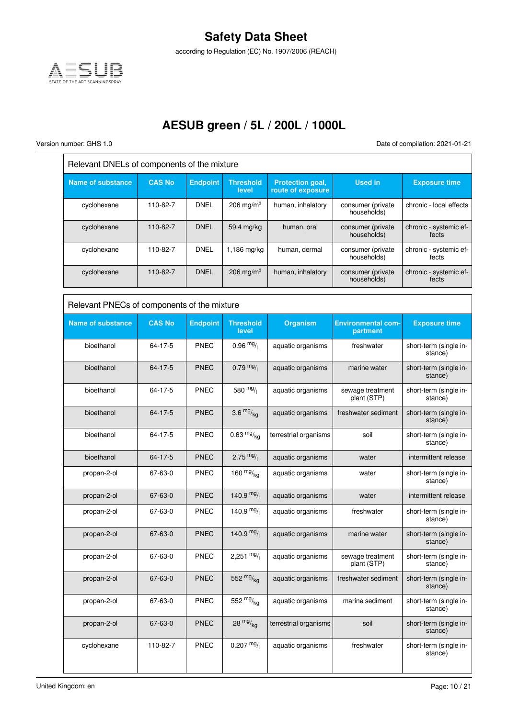

according to Regulation (EC) No. 1907/2006 (REACH)

### **AESUB green / 5L / 200L / 1000L**

 $\overline{\Gamma}$ 

Version number: GHS 1.0 Date of compilation: 2021-01-21

 $\overline{\overline{1}}$ 

| Relevant DNELs of components of the mixture |               |                 |                      |                                              |                                   |                                 |  |  |  |
|---------------------------------------------|---------------|-----------------|----------------------|----------------------------------------------|-----------------------------------|---------------------------------|--|--|--|
| <b>Name of substance</b>                    | <b>CAS No</b> | <b>Endpoint</b> | Threshold<br>level   | <b>Protection goal,</b><br>route of exposure | <b>Used in</b>                    | <b>Exposure time</b>            |  |  |  |
| cyclohexane                                 | 110-82-7      | <b>DNEL</b>     | $206 \text{ mg/m}^3$ | human, inhalatory                            | consumer (private)<br>households) | chronic - local effects         |  |  |  |
| cyclohexane                                 | 110-82-7      | <b>DNEL</b>     | 59.4 mg/kg           | human, oral                                  | consumer (private)<br>households) | chronic - systemic ef-<br>fects |  |  |  |
| cyclohexane                                 | 110-82-7      | <b>DNEL</b>     | $1,186$ mg/kg        | human, dermal                                | consumer (private<br>households)  | chronic - systemic ef-<br>fects |  |  |  |
| cyclohexane                                 | 110-82-7      | <b>DNEL</b>     | $206 \text{ mg/m}^3$ | human, inhalatory                            | consumer (private)<br>households) | chronic - systemic ef-<br>fects |  |  |  |

| Relevant PNECs of components of the mixture |               |                 |                           |                       |                                       |                                   |
|---------------------------------------------|---------------|-----------------|---------------------------|-----------------------|---------------------------------------|-----------------------------------|
| <b>Name of substance</b>                    | <b>CAS No</b> | <b>Endpoint</b> | <b>Threshold</b><br>level | <b>Organism</b>       | <b>Environmental com-</b><br>partment | <b>Exposure time</b>              |
| bioethanol                                  | 64-17-5       | <b>PNEC</b>     | $0.96 \frac{mg}{l}$       | aquatic organisms     | freshwater                            | short-term (single in-<br>stance) |
| bioethanol                                  | 64-17-5       | <b>PNEC</b>     | $0.79 \frac{mg}{l}$       | aquatic organisms     | marine water                          | short-term (single in-<br>stance) |
| bioethanol                                  | 64-17-5       | PNEC            | 580 $mg/$                 | aquatic organisms     | sewage treatment<br>plant (STP)       | short-term (single in-<br>stance) |
| bioethanol                                  | 64-17-5       | <b>PNEC</b>     | 3.6 $mg/kq$               | aquatic organisms     | freshwater sediment                   | short-term (single in-<br>stance) |
| bioethanol                                  | 64-17-5       | <b>PNEC</b>     | $0.63 \frac{mg}{ka}$      | terrestrial organisms | soil                                  | short-term (single in-<br>stance) |
| bioethanol                                  | 64-17-5       | <b>PNEC</b>     | 2.75 $mg/$                | aquatic organisms     | water                                 | intermittent release              |
| propan-2-ol                                 | 67-63-0       | <b>PNEC</b>     | 160 $mg/kq$               | aquatic organisms     | water                                 | short-term (single in-<br>stance) |
| propan-2-ol                                 | 67-63-0       | <b>PNEC</b>     | 140.9 $mg/$               | aquatic organisms     | water                                 | intermittent release              |
| propan-2-ol                                 | 67-63-0       | <b>PNEC</b>     | $140.9 \frac{mg}{l}$      | aquatic organisms     | freshwater                            | short-term (single in-<br>stance) |
| propan-2-ol                                 | 67-63-0       | <b>PNEC</b>     | 140.9 $mg/$               | aquatic organisms     | marine water                          | short-term (single in-<br>stance) |
| propan-2-ol                                 | 67-63-0       | <b>PNEC</b>     | 2,251 $mg/$               | aquatic organisms     | sewage treatment<br>plant (STP)       | short-term (single in-<br>stance) |
| propan-2-ol                                 | 67-63-0       | <b>PNEC</b>     | 552 $mg/kq$               | aquatic organisms     | freshwater sediment                   | short-term (single in-<br>stance) |
| propan-2-ol                                 | 67-63-0       | <b>PNEC</b>     | 552 $mg/kq$               | aquatic organisms     | marine sediment                       | short-term (single in-<br>stance) |
| propan-2-ol                                 | 67-63-0       | <b>PNEC</b>     | $28 \frac{mg}{ka}$        | terrestrial organisms | soil                                  | short-term (single in-<br>stance) |
| cyclohexane                                 | 110-82-7      | PNEC            | $0.207 \frac{mg}{l}$      | aquatic organisms     | freshwater                            | short-term (single in-<br>stance) |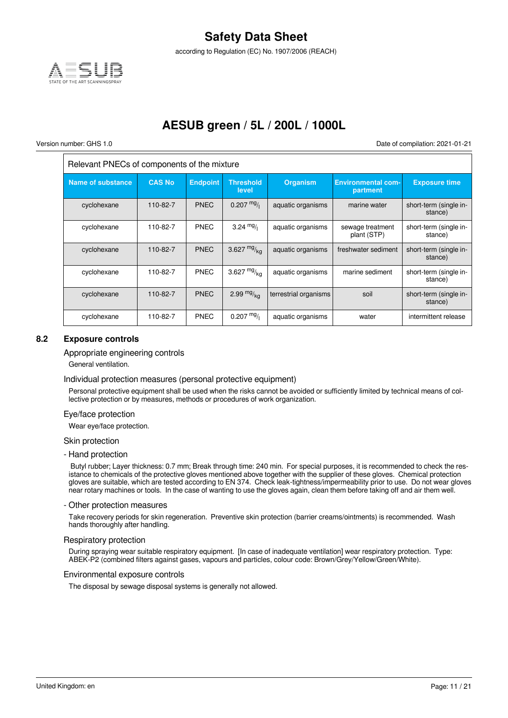

according to Regulation (EC) No. 1907/2006 (REACH)

### **AESUB green / 5L / 200L / 1000L**

 $\overline{\phantom{a}}$ 

Version number: GHS 1.0 Date of compilation: 2021-01-21

| Relevant PNECs of components of the mixture |               |                 |                           |                       |                                       |                                   |
|---------------------------------------------|---------------|-----------------|---------------------------|-----------------------|---------------------------------------|-----------------------------------|
| <b>Name of substance</b>                    | <b>CAS No</b> | <b>Endpoint</b> | <b>Threshold</b><br>level | <b>Organism</b>       | <b>Environmental com-</b><br>partment | <b>Exposure time</b>              |
| cyclohexane                                 | 110-82-7      | <b>PNEC</b>     | $0.207$ mg/               | aquatic organisms     | marine water                          | short-term (single in-<br>stance) |
| cyclohexane                                 | 110-82-7      | <b>PNEC</b>     | 3.24 $mg/1$               | aquatic organisms     | sewage treatment<br>plant (STP)       | short-term (single in-<br>stance) |
| cyclohexane                                 | 110-82-7      | <b>PNEC</b>     | 3.627 $mg/kq$             | aquatic organisms     | freshwater sediment                   | short-term (single in-<br>stance) |
| cyclohexane                                 | 110-82-7      | <b>PNEC</b>     | 3.627 $mg/kq$             | aquatic organisms     | marine sediment                       | short-term (single in-<br>stance) |
| cyclohexane                                 | 110-82-7      | <b>PNEC</b>     | 2.99 $mg/m$ <sub>ka</sub> | terrestrial organisms | soil                                  | short-term (single in-<br>stance) |
| cyclohexane                                 | 110-82-7      | <b>PNEC</b>     | $0.207 \frac{mg}{l}$      | aquatic organisms     | water                                 | intermittent release              |

#### **8.2 Exposure controls**

#### Appropriate engineering controls

General ventilation.

#### Individual protection measures (personal protective equipment)

Personal protective equipment shall be used when the risks cannot be avoided or sufficiently limited by technical means of collective protection or by measures, methods or procedures of work organization.

#### Eye/face protection

Wear eye/face protection.

#### Skin protection

- Hand protection

 Butyl rubber; Layer thickness: 0.7 mm; Break through time: 240 min. For special purposes, it is recommended to check the resistance to chemicals of the protective gloves mentioned above together with the supplier of these gloves. Chemical protection gloves are suitable, which are tested according to EN 374. Check leak-tightness/impermeability prior to use. Do not wear gloves near rotary machines or tools. In the case of wanting to use the gloves again, clean them before taking off and air them well.

#### - Other protection measures

Take recovery periods for skin regeneration. Preventive skin protection (barrier creams/ointments) is recommended. Wash hands thoroughly after handling.

#### Respiratory protection

During spraying wear suitable respiratory equipment. [In case of inadequate ventilation] wear respiratory protection. Type: ABEK-P2 (combined filters against gases, vapours and particles, colour code: Brown/Grey/Yellow/Green/White).

#### Environmental exposure controls

The disposal by sewage disposal systems is generally not allowed.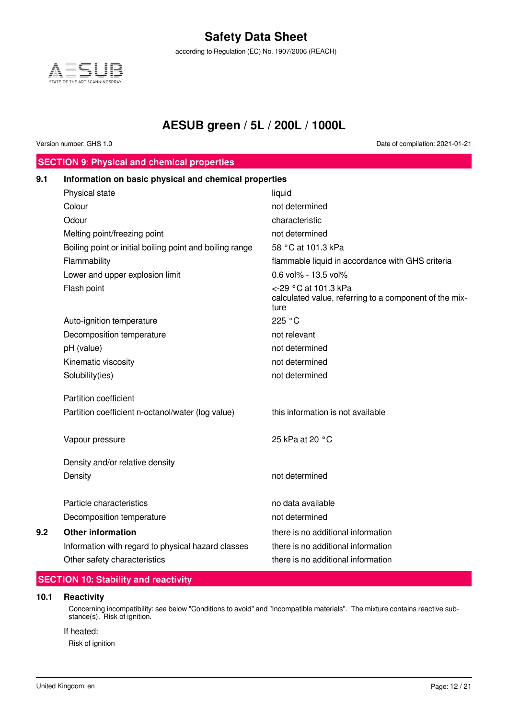according to Regulation (EC) No. 1907/2006 (REACH)



### **AESUB green / 5L / 200L / 1000L**

Version number: GHS 1.0 Date of compilation: 2021-01-21

### **SECTION 9: Physical and chemical properties**

| 9.1 | Information on basic physical and chemical properties    |                                                                                        |
|-----|----------------------------------------------------------|----------------------------------------------------------------------------------------|
|     | Physical state                                           | liquid                                                                                 |
|     | Colour                                                   | not determined                                                                         |
|     | Odour                                                    | characteristic                                                                         |
|     | Melting point/freezing point                             | not determined                                                                         |
|     | Boiling point or initial boiling point and boiling range | 58 °C at 101.3 kPa                                                                     |
|     | Flammability                                             | flammable liquid in accordance with GHS criteria                                       |
|     | Lower and upper explosion limit                          | 0.6 vol% - 13.5 vol%                                                                   |
|     | Flash point                                              | <-29 °C at 101.3 kPa<br>calculated value, referring to a component of the mix-<br>ture |
|     | Auto-ignition temperature                                | 225 °C                                                                                 |
|     | Decomposition temperature                                | not relevant                                                                           |
|     | pH (value)                                               | not determined                                                                         |
|     | Kinematic viscosity                                      | not determined                                                                         |
|     | Solubility(ies)                                          | not determined                                                                         |
|     | Partition coefficient                                    |                                                                                        |
|     | Partition coefficient n-octanol/water (log value)        | this information is not available                                                      |
|     | Vapour pressure                                          | 25 kPa at 20 °C                                                                        |
|     | Density and/or relative density                          |                                                                                        |
|     | Density                                                  | not determined                                                                         |
|     | Particle characteristics                                 | no data available                                                                      |
|     | Decomposition temperature                                | not determined                                                                         |
| 9.2 | <b>Other information</b>                                 | there is no additional information                                                     |
|     | Information with regard to physical hazard classes       | there is no additional information                                                     |
|     | Other safety characteristics                             | there is no additional information                                                     |
|     |                                                          |                                                                                        |

### **SECTION 10: Stability and reactivity**

#### **10.1 Reactivity**

Concerning incompatibility: see below "Conditions to avoid" and "Incompatible materials". The mixture contains reactive substance(s). Risk of ignition.

#### If heated:

Risk of ignition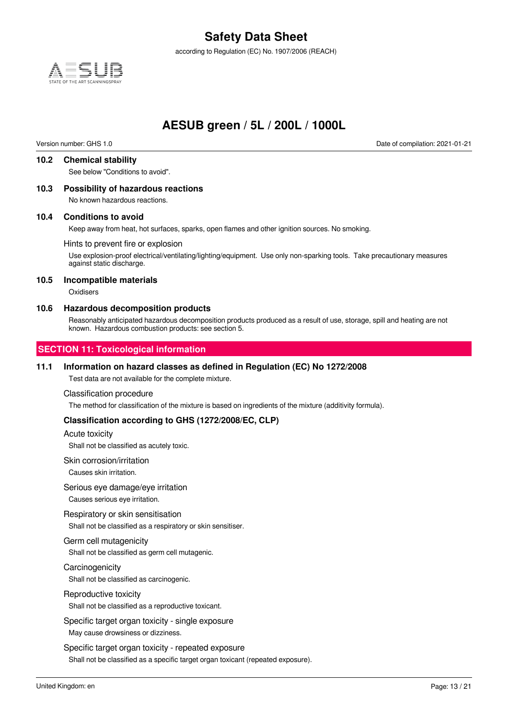according to Regulation (EC) No. 1907/2006 (REACH)



### **AESUB green / 5L / 200L / 1000L**

Version number: GHS 1.0 Date of compilation: 2021-01-21

#### **10.2 Chemical stability**

See below "Conditions to avoid".

#### **10.3 Possibility of hazardous reactions**

No known hazardous reactions.

#### **10.4 Conditions to avoid**

Keep away from heat, hot surfaces, sparks, open flames and other ignition sources. No smoking.

#### Hints to prevent fire or explosion

Use explosion-proof electrical/ventilating/lighting/equipment. Use only non-sparking tools. Take precautionary measures against static discharge.

#### **10.5 Incompatible materials**

**Oxidisers** 

#### **10.6 Hazardous decomposition products**

Reasonably anticipated hazardous decomposition products produced as a result of use, storage, spill and heating are not known. Hazardous combustion products: see section 5.

#### **SECTION 11: Toxicological information**

#### **11.1 Information on hazard classes as defined in Regulation (EC) No 1272/2008**

Test data are not available for the complete mixture.

#### Classification procedure

The method for classification of the mixture is based on ingredients of the mixture (additivity formula).

#### **Classification according to GHS (1272/2008/EC, CLP)**

#### Acute toxicity

Shall not be classified as acutely toxic.

#### Skin corrosion/irritation

Causes skin irritation.

#### Serious eye damage/eye irritation

Causes serious eye irritation.

#### Respiratory or skin sensitisation

Shall not be classified as a respiratory or skin sensitiser.

#### Germ cell mutagenicity

Shall not be classified as germ cell mutagenic.

#### **Carcinogenicity**

Shall not be classified as carcinogenic.

#### Reproductive toxicity

Shall not be classified as a reproductive toxicant.

Specific target organ toxicity - single exposure

May cause drowsiness or dizziness.

Specific target organ toxicity - repeated exposure Shall not be classified as a specific target organ toxicant (repeated exposure).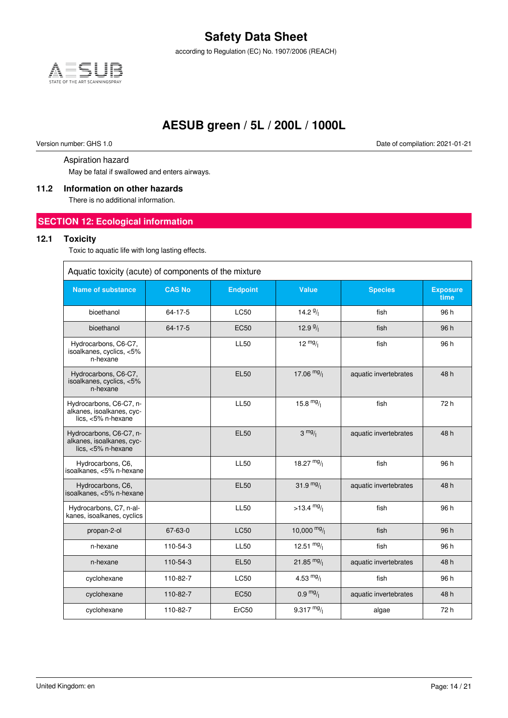according to Regulation (EC) No. 1907/2006 (REACH)



### **AESUB green / 5L / 200L / 1000L**

Version number: GHS 1.0 Date of compilation: 2021-01-21

#### Aspiration hazard

May be fatal if swallowed and enters airways.

#### **11.2 Information on other hazards**

There is no additional information.

#### **SECTION 12: Ecological information**

#### **12.1 Toxicity**

Toxic to aquatic life with long lasting effects.

| Aquatic toxicity (acute) of components of the mixture                         |               |                 |                      |                       |                         |  |
|-------------------------------------------------------------------------------|---------------|-----------------|----------------------|-----------------------|-------------------------|--|
| <b>Name of substance</b>                                                      | <b>CAS No</b> | <b>Endpoint</b> | Value                | <b>Species</b>        | <b>Exposure</b><br>time |  |
| bioethanol                                                                    | $64 - 17 - 5$ | <b>LC50</b>     | 14.2 $9/1$           | fish                  | 96 h                    |  |
| bioethanol                                                                    | $64 - 17 - 5$ | <b>EC50</b>     | 12.9 $9/1$           | fish                  | 96 h                    |  |
| Hydrocarbons, C6-C7,<br>isoalkanes, cyclics, <5%<br>n-hexane                  |               | <b>LL50</b>     | $12 \frac{mg}{l}$    | fish                  | 96 h                    |  |
| Hydrocarbons, C6-C7,<br>isoalkanes, cyclics, <5%<br>n-hexane                  |               | <b>EL50</b>     | 17.06 $mg/$          | aquatic invertebrates | 48h                     |  |
| Hydrocarbons, C6-C7, n-<br>alkanes, isoalkanes, cyc-<br>lics, $<5\%$ n-hexane |               | <b>LL50</b>     | 15.8 $mg/$           | fish                  | 72 h                    |  |
| Hydrocarbons, C6-C7, n-<br>alkanes, isoalkanes, cyc-<br>lics, <5% n-hexane    |               | <b>EL50</b>     | $3 \frac{mg}{l}$     | aquatic invertebrates | 48h                     |  |
| Hydrocarbons, C6,<br>isoalkanes, <5% n-hexane                                 |               | <b>LL50</b>     | 18.27 $mg/$          | fish                  | 96 h                    |  |
| Hydrocarbons, C6,<br>isoalkanes, <5% n-hexane                                 |               | <b>EL50</b>     | 31.9 $mg/$           | aquatic invertebrates | 48 h                    |  |
| Hydrocarbons, C7, n-al-<br>kanes, isoalkanes, cyclics                         |               | <b>LL50</b>     | $>13.4 \frac{mg}{l}$ | fish                  | 96 h                    |  |
| propan-2-ol                                                                   | 67-63-0       | <b>LC50</b>     | 10,000 $mg/$         | fish                  | 96 h                    |  |
| n-hexane                                                                      | 110-54-3      | <b>LL50</b>     | 12.51 $mg/$          | fish                  | 96 h                    |  |
| n-hexane                                                                      | 110-54-3      | <b>EL50</b>     | 21.85 $mg/$          | aquatic invertebrates | 48 h                    |  |
| cyclohexane                                                                   | 110-82-7      | <b>LC50</b>     | 4.53 $mg/1$          | fish                  | 96 h                    |  |
| cyclohexane                                                                   | 110-82-7      | <b>EC50</b>     | $0.9 \frac{mg}{l}$   | aquatic invertebrates | 48h                     |  |
| cyclohexane                                                                   | 110-82-7      | ErC50           | 9.317 $mg/$          | algae                 | 72 h                    |  |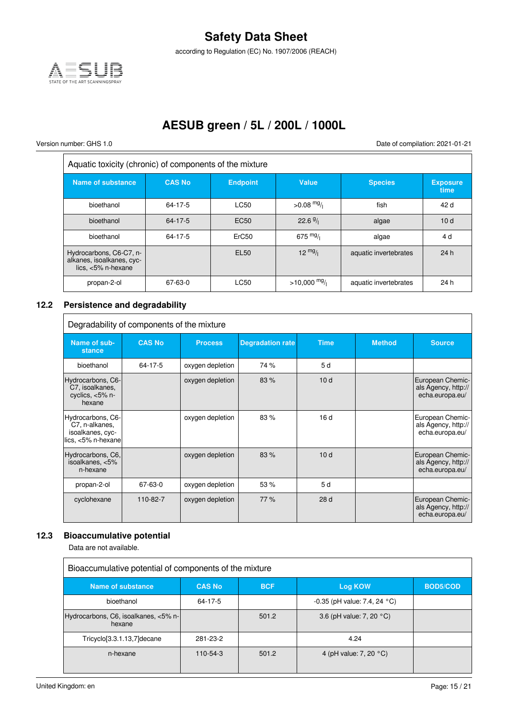

according to Regulation (EC) No. 1907/2006 (REACH)

## **AESUB green / 5L / 200L / 1000L**

 $\overline{r}$ 

 $\Gamma$ 

Version number: GHS 1.0 Date of compilation: 2021-01-21

 $\overline{\mathbf{a}}$ 

J.

| Aquatic toxicity (chronic) of components of the mixture                       |               |                  |                   |                       |                         |
|-------------------------------------------------------------------------------|---------------|------------------|-------------------|-----------------------|-------------------------|
| Name of substance                                                             | <b>CAS No</b> | <b>Endpoint</b>  | Value             | <b>Species</b>        | <b>Exposure</b><br>time |
| bioethanol                                                                    | 64-17-5       | <b>LC50</b>      | $>0.08$ mg/       | fish                  | 42 d                    |
| bioethanol                                                                    | 64-17-5       | EC <sub>50</sub> | $22.6\frac{9}{1}$ | algae                 | 10d                     |
| bioethanol                                                                    | 64-17-5       | ErC50            | 675 $mg/$         | algae                 | 4 d                     |
| Hydrocarbons, C6-C7, n-<br>alkanes, isoalkanes, cyc-<br>lics, $<5\%$ n-hexane |               | <b>EL50</b>      | $12 \frac{mg}{l}$ | aquatic invertebrates | 24h                     |
| propan-2-ol                                                                   | 67-63-0       | LC50             | $>10,000$ mg/     | aquatic invertebrates | 24 h                    |

### **12.2 Persistence and degradability**

| Degradability of components of the mixture                                       |               |                  |                         |             |               |                                                            |
|----------------------------------------------------------------------------------|---------------|------------------|-------------------------|-------------|---------------|------------------------------------------------------------|
| Name of sub-<br>stance                                                           | <b>CAS No</b> | <b>Process</b>   | <b>Degradation rate</b> | <b>Time</b> | <b>Method</b> | <b>Source</b>                                              |
| bioethanol                                                                       | 64-17-5       | oxygen depletion | 74 %                    | 5 d         |               |                                                            |
| Hydrocarbons, C6-<br>C7, isoalkanes,<br>cyclics, $<5\%$ n-<br>hexane             |               | oxygen depletion | 83%                     | 10d         |               | European Chemic-<br>als Agency, http://<br>echa.europa.eu/ |
| Hydrocarbons, C6-<br>C7, n-alkanes,<br>isoalkanes, cyc-<br>$lics, <5\%$ n-hexane |               | oxygen depletion | 83%                     | 16d         |               | European Chemic-<br>als Agency, http://<br>echa.europa.eu/ |
| Hydrocarbons, C6, <br>isoalkanes, <5%<br>n-hexane                                |               | oxygen depletion | 83%                     | 10d         |               | European Chemic-<br>als Agency, http://<br>echa.europa.eu/ |
| propan-2-ol                                                                      | 67-63-0       | oxygen depletion | 53 %                    | 5 d         |               |                                                            |
| cyclohexane                                                                      | 110-82-7      | oxygen depletion | 77%                     | 28 d        |               | European Chemic-<br>als Agency, http://<br>echa.europa.eu/ |

#### **12.3 Bioaccumulative potential**

Data are not available.

| Bioaccumulative potential of components of the mixture |               |            |                                          |                 |  |
|--------------------------------------------------------|---------------|------------|------------------------------------------|-----------------|--|
| Name of substance                                      | <b>CAS No</b> | <b>BCF</b> | <b>Log KOW</b>                           | <b>BOD5/COD</b> |  |
| bioethanol                                             | 64-17-5       |            | $-0.35$ (pH value: 7.4, 24 $^{\circ}$ C) |                 |  |
| Hydrocarbons, C6, isoalkanes, <5% n-<br>hexane         |               | 501.2      | 3.6 (pH value: 7, 20 °C)                 |                 |  |
| Tricyclo[3.3.1.13,7]decane                             | 281-23-2      |            | 4.24                                     |                 |  |
| n-hexane                                               | $110-54-3$    | 501.2      | 4 (pH value: 7, 20 °C)                   |                 |  |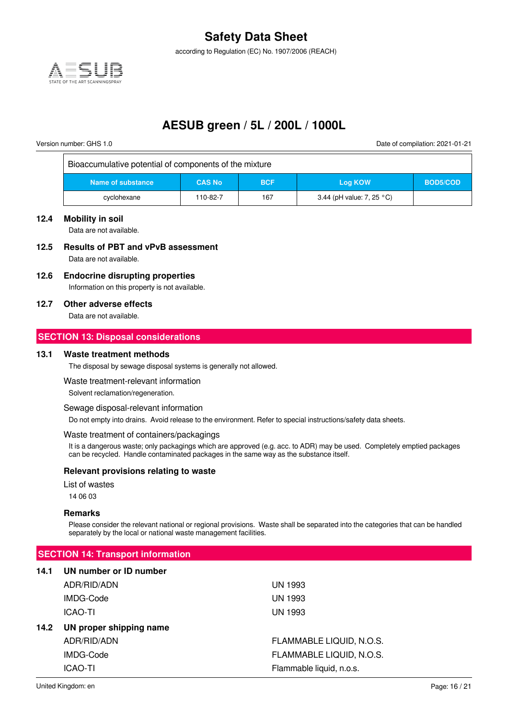according to Regulation (EC) No. 1907/2006 (REACH)



### **AESUB green / 5L / 200L / 1000L**

 $\overline{\phantom{a}}$ 

Version number: GHS 1.0 Date of compilation: 2021-01-21

| Bioaccumulative potential of components of the mixture |               |            |                           |          |
|--------------------------------------------------------|---------------|------------|---------------------------|----------|
| Name of substance                                      | <b>CAS No</b> | <b>BCF</b> | Log KOW                   | BOD5/COD |
| cyclohexane                                            | 110-82-7      | 167        | 3.44 (pH value: 7, 25 °C) |          |

#### **12.4 Mobility in soil**

Data are not available.

### **12.5 Results of PBT and vPvB assessment**

Data are not available.

#### **12.6 Endocrine disrupting properties**

Information on this property is not available.

#### **12.7 Other adverse effects**

Data are not available.

#### **SECTION 13: Disposal considerations**

#### **13.1 Waste treatment methods**

The disposal by sewage disposal systems is generally not allowed.

#### Waste treatment-relevant information

Solvent reclamation/regeneration.

#### Sewage disposal-relevant information

Do not empty into drains. Avoid release to the environment. Refer to special instructions/safety data sheets.

#### Waste treatment of containers/packagings

It is a dangerous waste; only packagings which are approved (e.g. acc. to ADR) may be used. Completely emptied packages can be recycled. Handle contaminated packages in the same way as the substance itself.

#### **Relevant provisions relating to waste**

List of wastes

14 06 03

#### **Remarks**

Please consider the relevant national or regional provisions. Waste shall be separated into the categories that can be handled separately by the local or national waste management facilities.

#### **SECTION 14: Transport information**

#### **14.1 UN number or ID number**

|      | ADR/RID/ADN             | UN 1993                  |
|------|-------------------------|--------------------------|
|      | IMDG-Code               | <b>UN 1993</b>           |
|      | <b>ICAO-TI</b>          | <b>UN 1993</b>           |
| 14.2 | UN proper shipping name |                          |
|      | ADR/RID/ADN             | FLAMMABLE LIQUID, N.O.S. |
|      | IMDG-Code               | FLAMMABLE LIQUID, N.O.S. |
|      | <b>ICAO-TI</b>          | Flammable liquid, n.o.s. |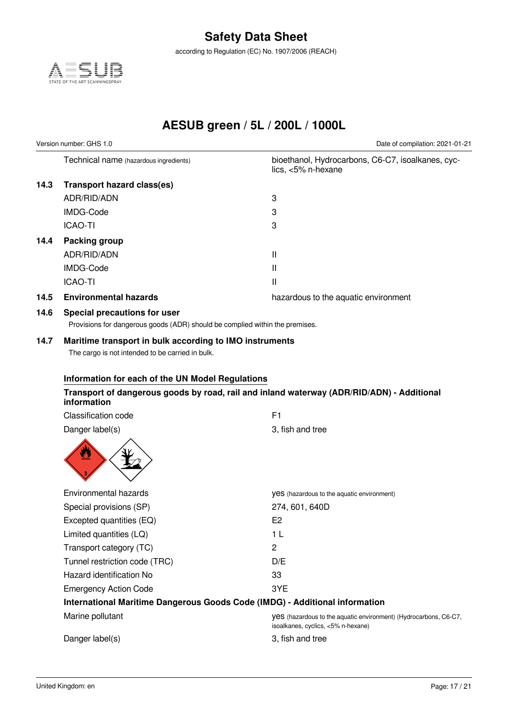according to Regulation (EC) No. 1907/2006 (REACH)



**AESUB green / 5L / 200L / 1000L**

Version number: GHS 1.0 Date of compilation: 2021-01-21

Technical name (hazardous ingredients) bioethanol, Hydrocarbons, C6-C7, isoalkanes, cyc-

|      |                                   | lics, $<5\%$ n-hexane                |
|------|-----------------------------------|--------------------------------------|
| 14.3 | <b>Transport hazard class(es)</b> |                                      |
|      | ADR/RID/ADN                       | 3                                    |
|      | IMDG-Code                         | 3                                    |
|      | <b>ICAO-TI</b>                    | 3                                    |
| 14.4 | Packing group                     |                                      |
|      | ADR/RID/ADN                       | Ш                                    |
|      | IMDG-Code                         | Ш                                    |
|      | <b>ICAO-TI</b>                    | Ш                                    |
| 14.5 | <b>Environmental hazards</b>      | hazardous to the aquatic environment |

### **14.6 Special precautions for user**

Provisions for dangerous goods (ADR) should be complied within the premises.

#### **14.7 Maritime transport in bulk according to IMO instruments**

The cargo is not intended to be carried in bulk.

#### **Information for each of the UN Model Regulations**

#### **Transport of dangerous goods by road, rail and inland waterway (ADR/RID/ADN) - Additional information**

| Classification code           | F1                                                                                                            |
|-------------------------------|---------------------------------------------------------------------------------------------------------------|
| Danger label(s)               | 3, fish and tree                                                                                              |
| y                             |                                                                                                               |
| Environmental hazards         | yes (hazardous to the aquatic environment)                                                                    |
| Special provisions (SP)       | 274, 601, 640D                                                                                                |
| Excepted quantities (EQ)      | E <sub>2</sub>                                                                                                |
| Limited quantities (LQ)       | 1 L                                                                                                           |
| Transport category (TC)       | $\overline{c}$                                                                                                |
| Tunnel restriction code (TRC) | D/E                                                                                                           |
| Hazard identification No      | 33                                                                                                            |
| <b>Emergency Action Code</b>  | 3YE                                                                                                           |
|                               | International Maritime Dangerous Goods Code (IMDG) - Additional information                                   |
| Marine pollutant              | <b>yes</b> (hazardous to the aquatic environment) (Hydrocarbons, C6-C7,<br>isoalkanes, cyclics, <5% n-hexane) |
| Danger label(s)               | 3, fish and tree                                                                                              |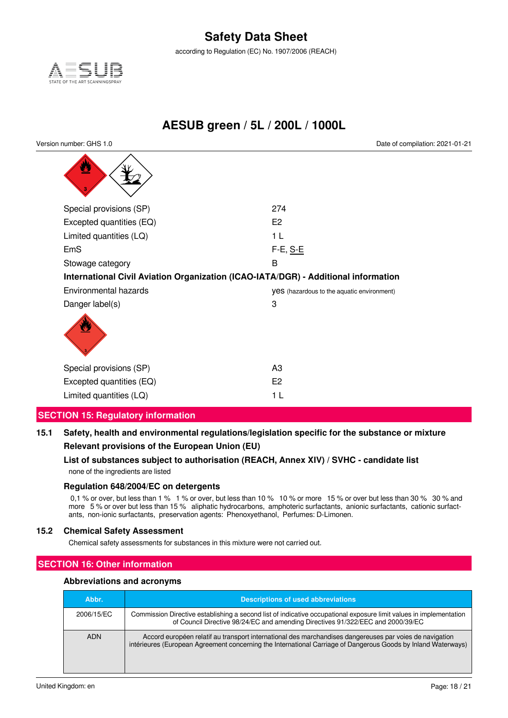according to Regulation (EC) No. 1907/2006 (REACH)



**AESUB green / 5L / 200L / 1000L**

Version number: GHS 1.0 Date of compilation: 2021-01-21

| <u>99</u>                                                                          |                                                   |
|------------------------------------------------------------------------------------|---------------------------------------------------|
| Special provisions (SP)                                                            | 274                                               |
| Excepted quantities (EQ)                                                           | E <sub>2</sub>                                    |
| Limited quantities (LQ)                                                            | 1 L                                               |
| EmS                                                                                | F-E, S-E                                          |
| Stowage category                                                                   | B                                                 |
| International Civil Aviation Organization (ICAO-IATA/DGR) - Additional information |                                                   |
| Environmental hazards                                                              | <b>yes</b> (hazardous to the aquatic environment) |
| Danger label(s)                                                                    | 3                                                 |
|                                                                                    |                                                   |
| Special provisions (SP)                                                            | A3                                                |
| Excepted quantities (EQ)                                                           | E <sub>2</sub>                                    |
| Limited quantities (LQ)                                                            | 1 L                                               |

### **SECTION 15: Regulatory information**

**15.1 Safety, health and environmental regulations/legislation specific for the substance or mixture Relevant provisions of the European Union (EU)**

### **List of substances subject to authorisation (REACH, Annex XIV) / SVHC - candidate list**

none of the ingredients are listed

#### **Regulation 648/2004/EC on detergents**

0,1 % or over, but less than 1 % 1 % or over, but less than 10 % 10 % or more 15 % or over but less than 30 % 30 % and more 5 % or over but less than 15 % aliphatic hydrocarbons, amphoteric surfactants, anionic surfactants, cationic surfactants, non-ionic surfactants, preservation agents: Phenoxyethanol, Perfumes: D-Limonen.

#### **15.2 Chemical Safety Assessment**

Chemical safety assessments for substances in this mixture were not carried out.

### **SECTION 16: Other information**

#### **Abbreviations and acronyms**

| Abbr.      | <b>Descriptions of used abbreviations</b>                                                                                                                                                                                |
|------------|--------------------------------------------------------------------------------------------------------------------------------------------------------------------------------------------------------------------------|
| 2006/15/EC | Commission Directive establishing a second list of indicative occupational exposure limit values in implementation<br>of Council Directive 98/24/EC and amending Directives 91/322/EEC and 2000/39/EC                    |
| <b>ADN</b> | Accord européen relatif au transport international des marchandises dangereuses par voies de navigation<br>intérieures (European Agreement concerning the International Carriage of Dangerous Goods by Inland Waterways) |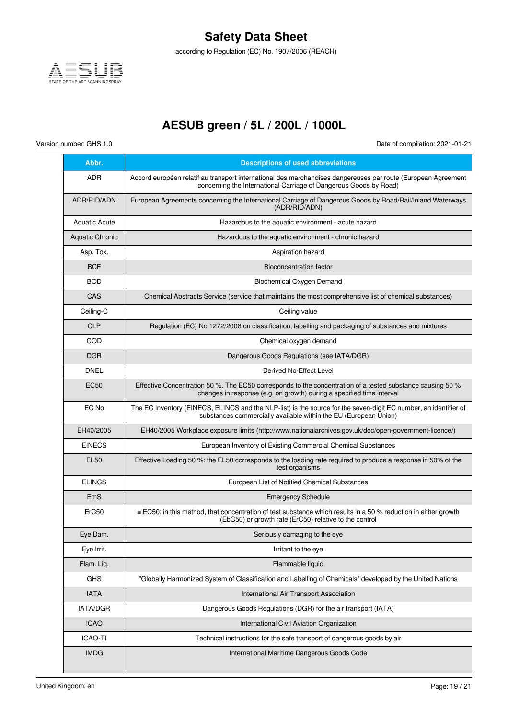

according to Regulation (EC) No. 1907/2006 (REACH)

## **AESUB green / 5L / 200L / 1000L**

Version number: GHS 1.0 Date of compilation: 2021-01-21

| Abbr.                  | <b>Descriptions of used abbreviations</b>                                                                                                                                            |
|------------------------|--------------------------------------------------------------------------------------------------------------------------------------------------------------------------------------|
| ADR.                   | Accord européen relatif au transport international des marchandises dangereuses par route (European Agreement<br>concerning the International Carriage of Dangerous Goods by Road)   |
| ADR/RID/ADN            | European Agreements concerning the International Carriage of Dangerous Goods by Road/Rail/Inland Waterways<br>(ADR/RID/ADN)                                                          |
| <b>Aquatic Acute</b>   | Hazardous to the aquatic environment - acute hazard                                                                                                                                  |
| <b>Aquatic Chronic</b> | Hazardous to the aquatic environment - chronic hazard                                                                                                                                |
| Asp. Tox.              | Aspiration hazard                                                                                                                                                                    |
| <b>BCF</b>             | Bioconcentration factor                                                                                                                                                              |
| <b>BOD</b>             | Biochemical Oxygen Demand                                                                                                                                                            |
| CAS                    | Chemical Abstracts Service (service that maintains the most comprehensive list of chemical substances)                                                                               |
| Ceiling-C              | Ceiling value                                                                                                                                                                        |
| <b>CLP</b>             | Regulation (EC) No 1272/2008 on classification, labelling and packaging of substances and mixtures                                                                                   |
| COD                    | Chemical oxygen demand                                                                                                                                                               |
| <b>DGR</b>             | Dangerous Goods Regulations (see IATA/DGR)                                                                                                                                           |
| <b>DNEL</b>            | Derived No-Effect Level                                                                                                                                                              |
| EC50                   | Effective Concentration 50 %. The EC50 corresponds to the concentration of a tested substance causing 50 %<br>changes in response (e.g. on growth) during a specified time interval  |
| EC No                  | The EC Inventory (EINECS, ELINCS and the NLP-list) is the source for the seven-digit EC number, an identifier of<br>substances commercially available within the EU (European Union) |
| EH40/2005              | EH40/2005 Workplace exposure limits (http://www.nationalarchives.gov.uk/doc/open-government-licence/)                                                                                |
| <b>EINECS</b>          | European Inventory of Existing Commercial Chemical Substances                                                                                                                        |
| <b>EL50</b>            | Effective Loading 50 %: the EL50 corresponds to the loading rate required to produce a response in 50% of the<br>test organisms                                                      |
| <b>ELINCS</b>          | European List of Notified Chemical Substances                                                                                                                                        |
| EmS                    | <b>Emergency Schedule</b>                                                                                                                                                            |
| ErC50                  | ≡ EC50: in this method, that concentration of test substance which results in a 50 % reduction in either growth<br>(EbC50) or growth rate (ErC50) relative to the control            |
| Eye Dam.               | Seriously damaging to the eye                                                                                                                                                        |
| Eye Irrit.             | Irritant to the eye                                                                                                                                                                  |
| Flam. Liq.             | Flammable liquid                                                                                                                                                                     |
| <b>GHS</b>             | "Globally Harmonized System of Classification and Labelling of Chemicals" developed by the United Nations                                                                            |
| <b>IATA</b>            | International Air Transport Association                                                                                                                                              |
| IATA/DGR               | Dangerous Goods Regulations (DGR) for the air transport (IATA)                                                                                                                       |
| <b>ICAO</b>            | International Civil Aviation Organization                                                                                                                                            |
| <b>ICAO-TI</b>         | Technical instructions for the safe transport of dangerous goods by air                                                                                                              |
| <b>IMDG</b>            | International Maritime Dangerous Goods Code                                                                                                                                          |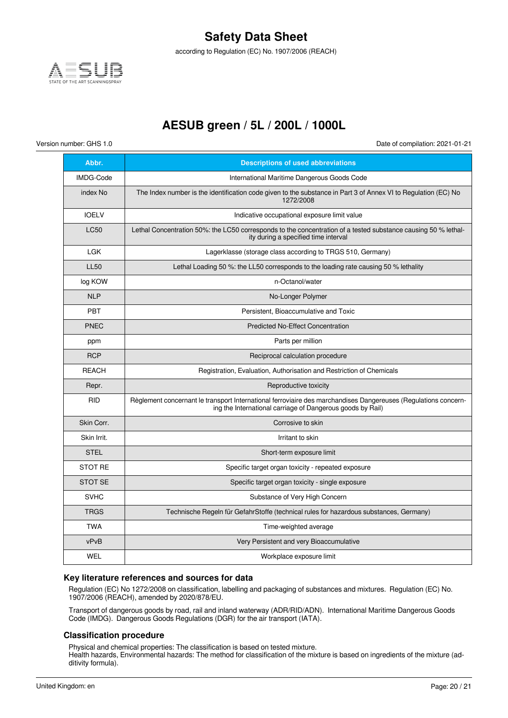

according to Regulation (EC) No. 1907/2006 (REACH)

## **AESUB green / 5L / 200L / 1000L**

Version number: GHS 1.0 Date of compilation: 2021-01-21

| Abbr.        | <b>Descriptions of used abbreviations</b>                                                                                                                                    |
|--------------|------------------------------------------------------------------------------------------------------------------------------------------------------------------------------|
| IMDG-Code    | International Maritime Dangerous Goods Code                                                                                                                                  |
| index No     | The Index number is the identification code given to the substance in Part 3 of Annex VI to Regulation (EC) No<br>1272/2008                                                  |
| <b>IOELV</b> | Indicative occupational exposure limit value                                                                                                                                 |
| <b>LC50</b>  | Lethal Concentration 50%: the LC50 corresponds to the concentration of a tested substance causing 50 % lethal-<br>ity during a specified time interval                       |
| <b>LGK</b>   | Lagerklasse (storage class according to TRGS 510, Germany)                                                                                                                   |
| <b>LL50</b>  | Lethal Loading 50 %: the LL50 corresponds to the loading rate causing 50 % lethality                                                                                         |
| log KOW      | n-Octanol/water                                                                                                                                                              |
| <b>NLP</b>   | No-Longer Polymer                                                                                                                                                            |
| PBT          | Persistent. Bioaccumulative and Toxic                                                                                                                                        |
| <b>PNEC</b>  | <b>Predicted No-Effect Concentration</b>                                                                                                                                     |
| ppm          | Parts per million                                                                                                                                                            |
| <b>RCP</b>   | Reciprocal calculation procedure                                                                                                                                             |
| <b>REACH</b> | Registration, Evaluation, Authorisation and Restriction of Chemicals                                                                                                         |
| Repr.        | Reproductive toxicity                                                                                                                                                        |
| <b>RID</b>   | Règlement concernant le transport International ferroviaire des marchandises Dangereuses (Regulations concern-<br>ing the International carriage of Dangerous goods by Rail) |
| Skin Corr.   | Corrosive to skin                                                                                                                                                            |
| Skin Irrit.  | Irritant to skin                                                                                                                                                             |
| <b>STEL</b>  | Short-term exposure limit                                                                                                                                                    |
| STOT RE      | Specific target organ toxicity - repeated exposure                                                                                                                           |
| STOT SE      | Specific target organ toxicity - single exposure                                                                                                                             |
| <b>SVHC</b>  | Substance of Very High Concern                                                                                                                                               |
| <b>TRGS</b>  | Technische Regeln für GefahrStoffe (technical rules for hazardous substances, Germany)                                                                                       |
| <b>TWA</b>   | Time-weighted average                                                                                                                                                        |
| vPvB         | Very Persistent and very Bioaccumulative                                                                                                                                     |
| WEL          | Workplace exposure limit                                                                                                                                                     |

#### **Key literature references and sources for data**

Regulation (EC) No 1272/2008 on classification, labelling and packaging of substances and mixtures. Regulation (EC) No. 1907/2006 (REACH), amended by 2020/878/EU.

Transport of dangerous goods by road, rail and inland waterway (ADR/RID/ADN). International Maritime Dangerous Goods Code (IMDG). Dangerous Goods Regulations (DGR) for the air transport (IATA).

#### **Classification procedure**

Physical and chemical properties: The classification is based on tested mixture.

Health hazards, Environmental hazards: The method for classification of the mixture is based on ingredients of the mixture (additivity formula).